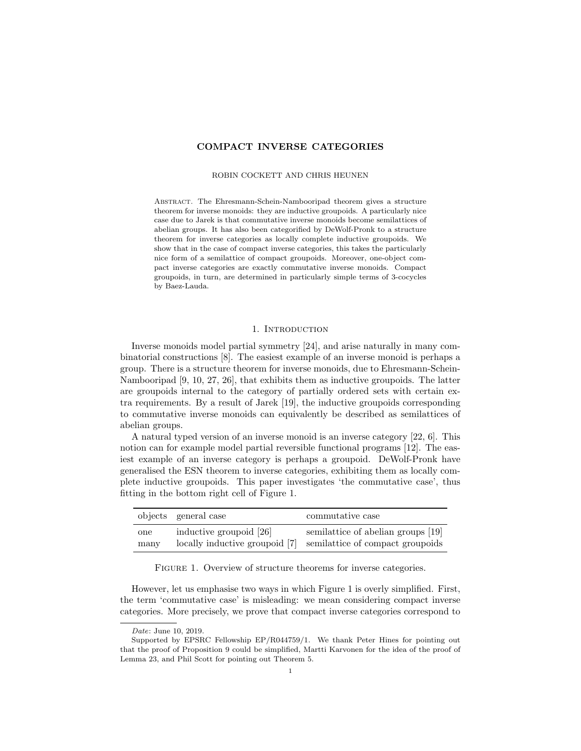# COMPACT INVERSE CATEGORIES

### ROBIN COCKETT AND CHRIS HEUNEN

Abstract. The Ehresmann-Schein-Nambooripad theorem gives a structure theorem for inverse monoids: they are inductive groupoids. A particularly nice case due to Jarek is that commutative inverse monoids become semilattices of abelian groups. It has also been categorified by DeWolf-Pronk to a structure theorem for inverse categories as locally complete inductive groupoids. We show that in the case of compact inverse categories, this takes the particularly nice form of a semilattice of compact groupoids. Moreover, one-object compact inverse categories are exactly commutative inverse monoids. Compact groupoids, in turn, are determined in particularly simple terms of 3-cocycles by Baez-Lauda.

# 1. INTRODUCTION

Inverse monoids model partial symmetry [24], and arise naturally in many combinatorial constructions [8]. The easiest example of an inverse monoid is perhaps a group. There is a structure theorem for inverse monoids, due to Ehresmann-Schein-Nambooripad [9, 10, 27, 26], that exhibits them as inductive groupoids. The latter are groupoids internal to the category of partially ordered sets with certain extra requirements. By a result of Jarek [19], the inductive groupoids corresponding to commutative inverse monoids can equivalently be described as semilattices of abelian groups.

A natural typed version of an inverse monoid is an inverse category [22, 6]. This notion can for example model partial reversible functional programs [12]. The easiest example of an inverse category is perhaps a groupoid. DeWolf-Pronk have generalised the ESN theorem to inverse categories, exhibiting them as locally complete inductive groupoids. This paper investigates 'the commutative case', thus fitting in the bottom right cell of Figure 1.

|      | objects general case           | commutative case                   |
|------|--------------------------------|------------------------------------|
| one  | inductive groupoid [26]        | semilattice of abelian groups [19] |
| many | locally inductive groupoid [7] | semilattice of compact groupoids   |

FIGURE 1. Overview of structure theorems for inverse categories.

However, let us emphasise two ways in which Figure 1 is overly simplified. First, the term 'commutative case' is misleading: we mean considering compact inverse categories. More precisely, we prove that compact inverse categories correspond to

Date: June 10, 2019.

Supported by EPSRC Fellowship EP/R044759/1. We thank Peter Hines for pointing out that the proof of Proposition 9 could be simplified, Martti Karvonen for the idea of the proof of Lemma 23, and Phil Scott for pointing out Theorem 5.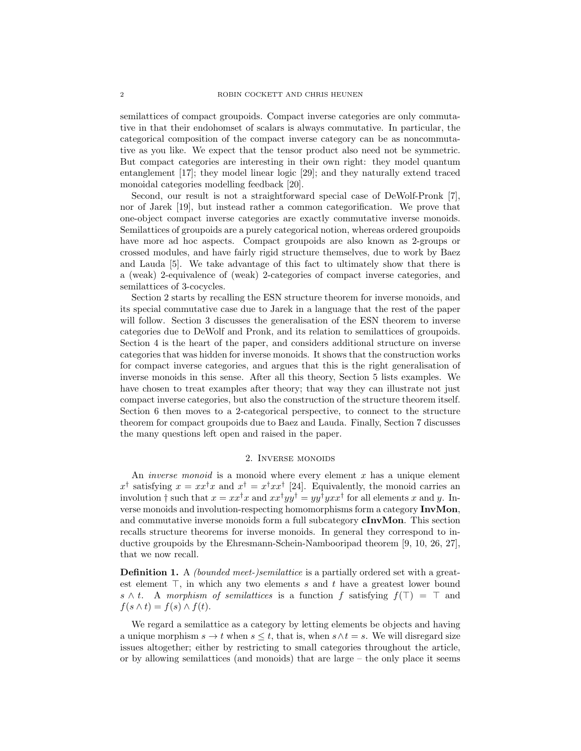semilattices of compact groupoids. Compact inverse categories are only commutative in that their endohomset of scalars is always commutative. In particular, the categorical composition of the compact inverse category can be as noncommutative as you like. We expect that the tensor product also need not be symmetric. But compact categories are interesting in their own right: they model quantum entanglement [17]; they model linear logic [29]; and they naturally extend traced monoidal categories modelling feedback [20].

Second, our result is not a straightforward special case of DeWolf-Pronk [7], nor of Jarek [19], but instead rather a common categorification. We prove that one-object compact inverse categories are exactly commutative inverse monoids. Semilattices of groupoids are a purely categorical notion, whereas ordered groupoids have more ad hoc aspects. Compact groupoids are also known as 2-groups or crossed modules, and have fairly rigid structure themselves, due to work by Baez and Lauda [5]. We take advantage of this fact to ultimately show that there is a (weak) 2-equivalence of (weak) 2-categories of compact inverse categories, and semilattices of 3-cocycles.

Section 2 starts by recalling the ESN structure theorem for inverse monoids, and its special commutative case due to Jarek in a language that the rest of the paper will follow. Section 3 discusses the generalisation of the ESN theorem to inverse categories due to DeWolf and Pronk, and its relation to semilattices of groupoids. Section 4 is the heart of the paper, and considers additional structure on inverse categories that was hidden for inverse monoids. It shows that the construction works for compact inverse categories, and argues that this is the right generalisation of inverse monoids in this sense. After all this theory, Section 5 lists examples. We have chosen to treat examples after theory; that way they can illustrate not just compact inverse categories, but also the construction of the structure theorem itself. Section 6 then moves to a 2-categorical perspective, to connect to the structure theorem for compact groupoids due to Baez and Lauda. Finally, Section 7 discusses the many questions left open and raised in the paper.

### 2. Inverse monoids

An *inverse monoid* is a monoid where every element  $x$  has a unique element  $x^{\dagger}$  satisfying  $x = xx^{\dagger}x$  and  $x^{\dagger} = x^{\dagger}xx^{\dagger}$  [24]. Equivalently, the monoid carries an involution  $\dagger$  such that  $x = xx^{\dagger}x$  and  $xx^{\dagger}yy^{\dagger} = yy^{\dagger}yxx^{\dagger}$  for all elements x and y. Inverse monoids and involution-respecting homomorphisms form a category InvMon, and commutative inverse monoids form a full subcategory cInvMon. This section recalls structure theorems for inverse monoids. In general they correspond to inductive groupoids by the Ehresmann-Schein-Nambooripad theorem [9, 10, 26, 27], that we now recall.

Definition 1. A *(bounded meet-)semilattice* is a partially ordered set with a greatest element  $\top$ , in which any two elements s and t have a greatest lower bound s  $\wedge$  t. A morphism of semilattices is a function f satisfying  $f(\top) = \top$  and  $f(s \wedge t) = f(s) \wedge f(t).$ 

We regard a semilattice as a category by letting elements be objects and having a unique morphism  $s \to t$  when  $s \leq t$ , that is, when  $s \wedge t = s$ . We will disregard size issues altogether; either by restricting to small categories throughout the article, or by allowing semilattices (and monoids) that are large  $-$  the only place it seems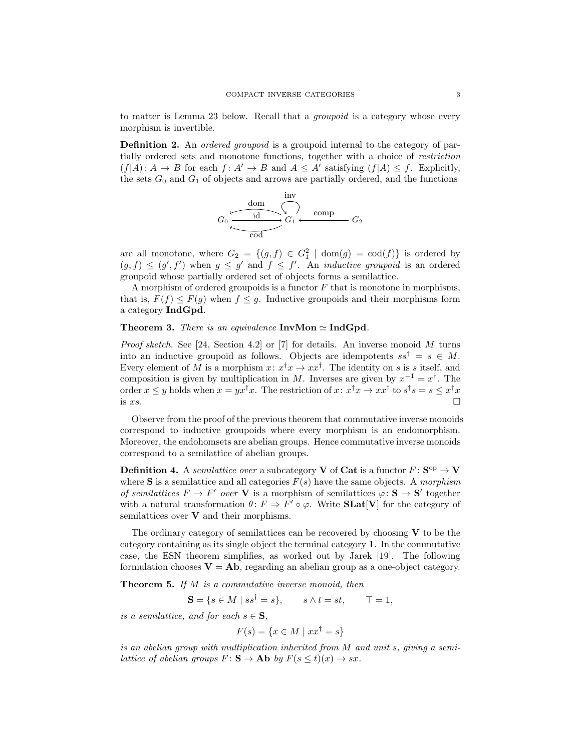to matter is Lemma 23 below. Recall that a groupoid is a category whose every morphism is invertible.

Definition 2. An *ordered groupoid* is a groupoid internal to the category of partially ordered sets and monotone functions, together with a choice of restriction  $(f|A): A \to B$  for each  $f: A' \to B$  and  $A \leq A'$  satisfying  $(f|A) \leq f$ . Explicitly, the sets  $G_0$  and  $G_1$  of objects and arrows are partially ordered, and the functions

$$
G_0 \xrightarrow{\text{dom} \atop \text{ind}} G_1 \xleftarrow{\text{imp} \atop \text{comp}} G_2
$$

are all monotone, where  $G_2 = \{(g, f) \in G_1^2 \mid \text{dom}(g) = \text{cod}(f)\}\$ is ordered by  $(g, f) \leq (g', f')$  when  $g \leq g'$  and  $f \leq f'$ . An *inductive groupoid* is an ordered groupoid whose partially ordered set of objects forms a semilattice.

A morphism of ordered groupoids is a functor  $F$  that is monotone in morphisms, that is,  $F(f) \leq F(g)$  when  $f \leq g$ . Inductive groupoids and their morphisms form a category IndGpd.

## **Theorem 3.** There is an equivalence  $InvMon \simeq IndGpd$ .

*Proof sketch.* See [24, Section 4.2] or [7] for details. An inverse monoid  $M$  turns into an inductive groupoid as follows. Objects are idempotents  $ss^{\dagger} = s \in M$ . Every element of M is a morphism  $x: x^{\dagger}x \to xx^{\dagger}$ . The identity on s is s itself, and composition is given by multiplication in M. Inverses are given by  $x^{-1} = x^{\dagger}$ . The order  $x \leq y$  holds when  $x = yx^{\dagger}x$ . The restriction of  $x: x^{\dagger}x \to xx^{\dagger}$  to  $s^{\dagger}s = s \leq x^{\dagger}x$ is  $xs$ .

Observe from the proof of the previous theorem that commutative inverse monoids correspond to inductive groupoids where every morphism is an endomorphism. Moreover, the endohomsets are abelian groups. Hence commutative inverse monoids correspond to a semilattice of abelian groups.

**Definition 4.** A *semilattice over* a subcategory **V** of **Cat** is a functor  $F: S^{op} \to V$ where S is a semilattice and all categories  $F(s)$  have the same objects. A morphism of semilattices  $F \to F'$  over V is a morphism of semilattices  $\varphi \colon \mathbf{S} \to \mathbf{S}'$  together with a natural transformation  $\theta: F \Rightarrow F' \circ \varphi$ . Write **SLat**[**V**] for the category of semilattices over  $V$  and their morphisms.

The ordinary category of semilattices can be recovered by choosing  $V$  to be the category containing as its single object the terminal category 1. In the commutative case, the ESN theorem simplifies, as worked out by Jarek [19]. The following formulation chooses  $V = Ab$ , regarding an abelian group as a one-object category.

**Theorem 5.** If  $M$  is a commutative inverse monoid, then

$$
\mathbf{S} = \{ s \in M \mid ss^{\dagger} = s \}, \qquad s \wedge t = st, \qquad \top = 1,
$$

is a semilattice, and for each  $s \in \mathbf{S}$ ,

$$
F(s) = \{ x \in M \mid xx^{\dagger} = s \}
$$

is an abelian group with multiplication inherited from M and unit s, giving a semilattice of abelian groups  $F: \mathbf{S} \to \mathbf{Ab}$  by  $F(s \le t)(x) \to sx$ .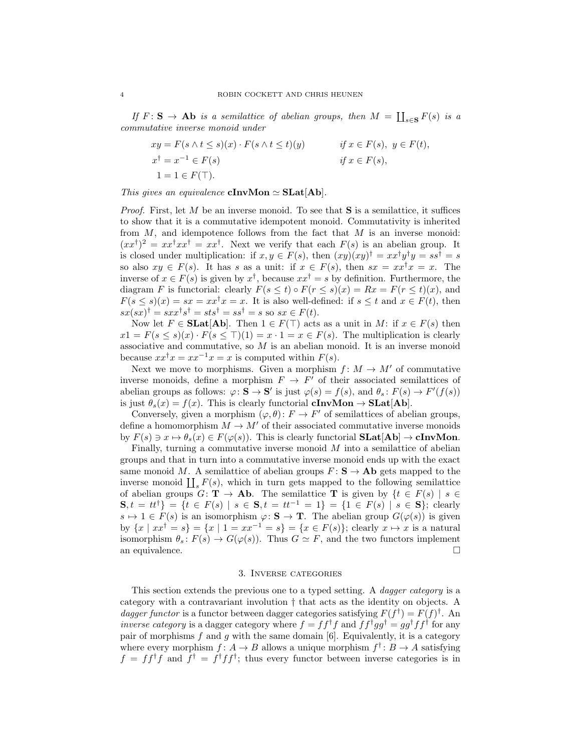If  $F: S \to Ab$  is a semilattice of abelian groups, then  $M = \coprod_{s \in S} F(s)$  is a commutative inverse monoid under

$$
xy = F(s \land t \le s)(x) \cdot F(s \land t \le t)(y)
$$
  
\n
$$
xf = x^{-1} \in F(s)
$$
  
\n
$$
x^{\dagger} = x^{-1} \in F(s)
$$
  
\n
$$
y \in F(t),
$$
  
\n
$$
y \in F(t),
$$
  
\n
$$
y \in F(t),
$$
  
\n
$$
y \in F(t),
$$
  
\n
$$
y \in F(t),
$$
  
\n
$$
y \in F(t),
$$

This gives an equivalence **cInvMon**  $\simeq$  **SLat**[Ab].

*Proof.* First, let  $M$  be an inverse monoid. To see that **S** is a semilattice, it suffices to show that it is a commutative idempotent monoid. Commutativity is inherited from  $M$ , and idempotence follows from the fact that  $M$  is an inverse monoid:  $(xx^{\dagger})^2 = xx^{\dagger}xx^{\dagger} = xx^{\dagger}$ . Next we verify that each  $F(s)$  is an abelian group. It is closed under multiplication: if  $x, y \in F(s)$ , then  $(xy)(xy)^{\dagger} = xx^{\dagger}y^{\dagger}y = ss^{\dagger} = s$ so also  $xy \in F(s)$ . It has s as a unit: if  $x \in F(s)$ , then  $sx = xx^{\dagger}x = x$ . The inverse of  $x \in F(s)$  is given by  $x^{\dagger}$ , because  $xx^{\dagger} = s$  by definition. Furthermore, the diagram F is functorial: clearly  $F(s \le t) \circ F(r \le s)(x) = Rx = F(r \le t)(x)$ , and  $F(s \le s)(x) = sx = xx^{\dagger}x = x$ . It is also well-defined: if  $s \le t$  and  $x \in F(t)$ , then  $sx(sx)^{\dagger} = sxx^{\dagger}s^{\dagger} = sts^{\dagger} = ss^{\dagger} = s$  so  $sx \in F(t)$ .

Now let  $F \in \textbf{SLat}[\textbf{Ab}]$ . Then  $1 \in F(\top)$  acts as a unit in M: if  $x \in F(s)$  then  $x1 = F(s \leq s)(x) \cdot F(s \leq \top)(1) = x \cdot 1 = x \in F(s)$ . The multiplication is clearly associative and commutative, so  $M$  is an abelian monoid. It is an inverse monoid because  $xx^{\dagger}x = xx^{-1}x = x$  is computed within  $F(s)$ .

Next we move to morphisms. Given a morphism  $f: M \to M'$  of commutative inverse monoids, define a morphism  $F \to F'$  of their associated semilattices of abelian groups as follows:  $\varphi \colon \mathbf{S} \to \mathbf{S}'$  is just  $\varphi(s) = f(s)$ , and  $\theta_s \colon F(s) \to F'(f(s))$ is just  $\theta_s(x) = f(x)$ . This is clearly functorial **cInvMon**  $\rightarrow$  **SLat[Ab]**.

Conversely, given a morphism  $(\varphi, \theta) : F \to F'$  of semilattices of abelian groups, define a homomorphism  $M \to M'$  of their associated commutative inverse monoids by  $F(s) \ni x \mapsto \theta_s(x) \in F(\varphi(s))$ . This is clearly functorial  $SLat[Ab] \rightarrow clnvMon$ .

Finally, turning a commutative inverse monoid  $M$  into a semilattice of abelian groups and that in turn into a commutative inverse monoid ends up with the exact same monoid M. A semilattice of abelian groups  $F: S \to Ab$  gets mapped to the inverse monoid  $\prod_s F(s)$ , which in turn gets mapped to the following semilattice of abelian groups  $G: \mathbf{T} \to \mathbf{Ab}$ . The semilattice T is given by  $\{t \in F(s) \mid s \in$  $S, t = tt^{\dagger}$  = { $t \in F(s) | s \in S, t = tt^{-1} = 1$ } = { $1 \in F(s) | s \in S$ }; clearly  $s \mapsto 1 \in F(s)$  is an isomorphism  $\varphi \colon \mathbf{S} \to \mathbf{T}$ . The abelian group  $G(\varphi(s))$  is given by  $\{x \mid xx^{\dagger} = s\} = \{x \mid 1 = xx^{-1} = s\} = \{x \in F(s)\};$  clearly  $x \mapsto x$  is a natural isomorphism  $\theta_s : F(s) \to G(\varphi(s))$ . Thus  $G \simeq F$ , and the two functors implement an equivalence.  $\Box$ 

## 3. Inverse categories

This section extends the previous one to a typed setting. A *dagger category* is a category with a contravariant involution † that acts as the identity on objects. A dagger functor is a functor between dagger categories satisfying  $F(f^{\dagger}) = F(f)^{\dagger}$ . An inverse category is a dagger category where  $f = ff^{\dagger}f$  and  $ff^{\dagger}gg^{\dagger} = gg^{\dagger}ff^{\dagger}$  for any pair of morphisms  $f$  and  $g$  with the same domain [6]. Equivalently, it is a category where every morphism  $f: A \to B$  allows a unique morphism  $f^{\dagger}: B \to A$  satisfying  $f = f f^{\dagger} f$  and  $f^{\dagger} = f^{\dagger} f f^{\dagger}$ ; thus every functor between inverse categories is in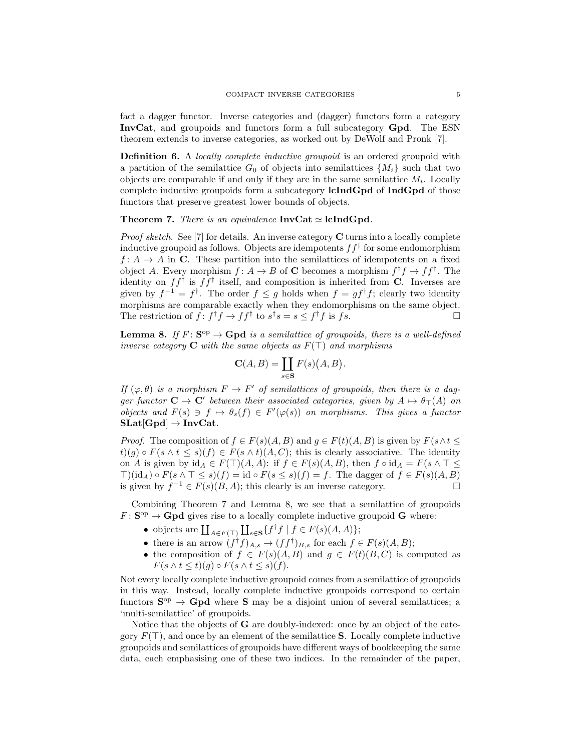fact a dagger functor. Inverse categories and (dagger) functors form a category InvCat, and groupoids and functors form a full subcategory Gpd. The ESN theorem extends to inverse categories, as worked out by DeWolf and Pronk [7].

Definition 6. A locally complete inductive groupoid is an ordered groupoid with a partition of the semilattice  $G_0$  of objects into semilattices  $\{M_i\}$  such that two objects are comparable if and only if they are in the same semilattice  $M_i$ . Locally complete inductive groupoids form a subcategory **lcIndGpd** of **IndGpd** of those functors that preserve greatest lower bounds of objects.

## **Theorem 7.** There is an equivalence  $InvCat \simeq$  lcIndGpd.

*Proof sketch.* See [7] for details. An inverse category  $C$  turns into a locally complete inductive groupoid as follows. Objects are idempotents  $ff^{\dagger}$  for some endomorphism  $f: A \rightarrow A$  in C. These partition into the semilattices of idempotents on a fixed object A. Every morphism  $f: A \to B$  of **C** becomes a morphism  $f^{\dagger}f \to ff^{\dagger}$ . The identity on  $ff^{\dagger}$  is  $ff^{\dagger}$  itself, and composition is inherited from **C**. Inverses are given by  $f^{-1} = f^{\dagger}$ . The order  $f \leq g$  holds when  $f = gf^{\dagger}f$ ; clearly two identity morphisms are comparable exactly when they endomorphisms on the same object. The restriction of  $f: f^{\dagger}f \to ff^{\dagger}$  to  $s^{\dagger}s = s \leq f^{\dagger}f$  is fs.

**Lemma 8.** If  $F: S^{op} \to \text{Gpd }$  is a semilattice of groupoids, there is a well-defined inverse category **C** with the same objects as  $F(T)$  and morphisms

$$
\mathbf{C}(A,B) = \coprod_{s \in \mathbf{S}} F(s)(A,B).
$$

If  $(\varphi, \theta)$  is a morphism  $F \to F'$  of semilattices of groupoids, then there is a dagger functor  $C \to C'$  between their associated categories, given by  $A \mapsto \theta_{\top}(A)$  on objects and  $F(s) \ni f \mapsto \theta_s(f) \in F'(\varphi(s))$  on morphisms. This gives a functor  $SLat[Gpd] \rightarrow InvCat.$ 

*Proof.* The composition of  $f \in F(s)(A, B)$  and  $g \in F(t)(A, B)$  is given by  $F(s \wedge t \leq t)$  $t)(g) \circ F(s \wedge t \leq s)(f) \in F(s \wedge t)(A, C);$  this is clearly associative. The identity on A is given by  $id_A \in F(\top)(A, A)$ : if  $f \in F(s)(A, B)$ , then  $f \circ id_A = F(s \land \top \leq$  $\top$ (id<sub>A</sub>) ∘  $F(s \wedge \top \leq s)(f) = id \circ F(s \leq s)(f) = f$ . The dagger of  $f \in F(s)(A, B)$ is given by  $f^{-1} \in F(s)(B, A)$ ; this clearly is an inverse category.

Combining Theorem 7 and Lemma 8, we see that a semilattice of groupoids  $F: \mathbf{S}^{\mathrm{op}} \to \mathbf{Gpd}$  gives rise to a locally complete inductive groupoid **G** where:

- objects are  $\coprod_{A\in F(\top)}\coprod_{s\in S}\{f^{\dagger}f \mid f\in F(s)(A,A)\};$
- there is an arrow  $(f^{\dagger}f)_{A,s} \to (ff^{\dagger})_{B,s}$  for each  $f \in F(s)(A, B);$
- the composition of  $f \in F(s)(A, B)$  and  $g \in F(t)(B, C)$  is computed as  $F(s \wedge t \leq t)(g) \circ F(s \wedge t \leq s)(f).$

Not every locally complete inductive groupoid comes from a semilattice of groupoids in this way. Instead, locally complete inductive groupoids correspond to certain functors  $S^{\text{op}} \to \text{Gpd}$  where S may be a disjoint union of several semilattices; a 'multi-semilattice' of groupoids.

Notice that the objects of **G** are doubly-indexed: once by an object of the category  $F(\top)$ , and once by an element of the semilattice **S**. Locally complete inductive groupoids and semilattices of groupoids have different ways of bookkeeping the same data, each emphasising one of these two indices. In the remainder of the paper,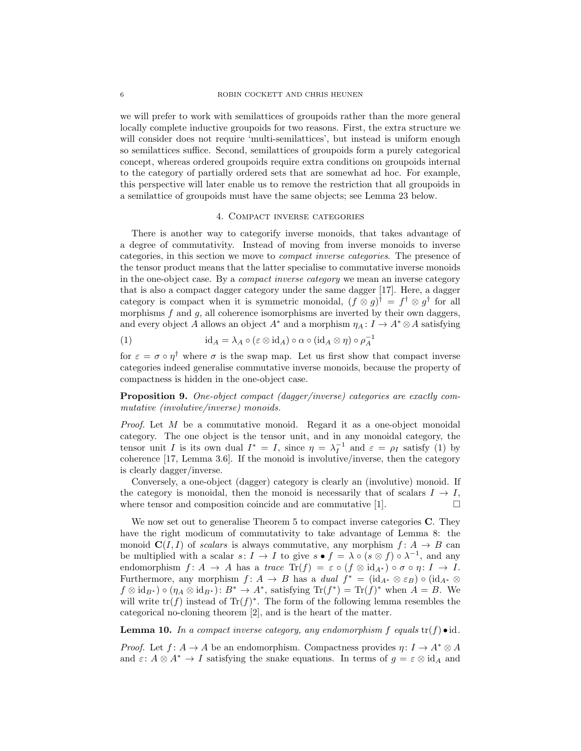we will prefer to work with semilattices of groupoids rather than the more general locally complete inductive groupoids for two reasons. First, the extra structure we will consider does not require 'multi-semilattices', but instead is uniform enough so semilattices suffice. Second, semilattices of groupoids form a purely categorical concept, whereas ordered groupoids require extra conditions on groupoids internal to the category of partially ordered sets that are somewhat ad hoc. For example, this perspective will later enable us to remove the restriction that all groupoids in a semilattice of groupoids must have the same objects; see Lemma 23 below.

#### 4. Compact inverse categories

There is another way to categorify inverse monoids, that takes advantage of a degree of commutativity. Instead of moving from inverse monoids to inverse categories, in this section we move to compact inverse categories. The presence of the tensor product means that the latter specialise to commutative inverse monoids in the one-object case. By a compact inverse category we mean an inverse category that is also a compact dagger category under the same dagger [17]. Here, a dagger category is compact when it is symmetric monoidal,  $(f \otimes g)^\dagger = f^\dagger \otimes g^\dagger$  for all morphisms  $f$  and  $g$ , all coherence isomorphisms are inverted by their own daggers, and every object A allows an object  $A^*$  and a morphism  $\eta_A: I \to A^* \otimes A$  satisfying

(1) 
$$
\mathrm{id}_A = \lambda_A \circ (\varepsilon \otimes \mathrm{id}_A) \circ \alpha \circ (\mathrm{id}_A \otimes \eta) \circ \rho_A^{-1}
$$

for  $\varepsilon = \sigma \circ \eta^{\dagger}$  where  $\sigma$  is the swap map. Let us first show that compact inverse categories indeed generalise commutative inverse monoids, because the property of compactness is hidden in the one-object case.

Proposition 9. One-object compact (dagger/inverse) categories are exactly commutative (involutive/inverse) monoids.

Proof. Let M be a commutative monoid. Regard it as a one-object monoidal category. The one object is the tensor unit, and in any monoidal category, the tensor unit I is its own dual  $I^* = I$ , since  $\eta = \lambda_I^{-1}$  and  $\varepsilon = \rho_I$  satisfy (1) by coherence [17, Lemma 3.6]. If the monoid is involutive/inverse, then the category is clearly dagger/inverse.

Conversely, a one-object (dagger) category is clearly an (involutive) monoid. If the category is monoidal, then the monoid is necessarily that of scalars  $I \rightarrow I$ , where tensor and composition coincide and are commutative [1].  $\Box$ 

We now set out to generalise Theorem 5 to compact inverse categories **C**. They have the right modicum of commutativity to take advantage of Lemma 8: the monoid  $\mathbf{C}(I, I)$  of scalars is always commutative, any morphism  $f: A \rightarrow B$  can be multiplied with a scalar  $s: I \to I$  to give  $s \bullet f = \lambda \circ (s \otimes f) \circ \lambda^{-1}$ , and any endomorphism  $f: A \to A$  has a trace  $\text{Tr}(f) = \varepsilon \circ (f \otimes id_{A^*}) \circ \sigma \circ \eta: I \to I$ . Furthermore, any morphism  $f: A \to B$  has a dual  $f^* = (\mathrm{id}_{A^*} \otimes \varepsilon_B) \circ (\mathrm{id}_{A^*} \otimes$  $f \otimes id_{B^*}$ )  $\circ (\eta_A \otimes id_{B^*}) : B^* \to A^*$ , satisfying  $\text{Tr}(f^*) = \text{Tr}(f)^*$  when  $A = B$ . We will write  $tr(f)$  instead of  $Tr(f)^*$ . The form of the following lemma resembles the categorical no-cloning theorem [2], and is the heart of the matter.

**Lemma 10.** In a compact inverse category, any endomorphism f equals  $tr(f) \cdot id$ .

*Proof.* Let  $f: A \to A$  be an endomorphism. Compactness provides  $\eta: I \to A^* \otimes A$ and  $\varepsilon: A \otimes A^* \to I$  satisfying the snake equations. In terms of  $g = \varepsilon \otimes id_A$  and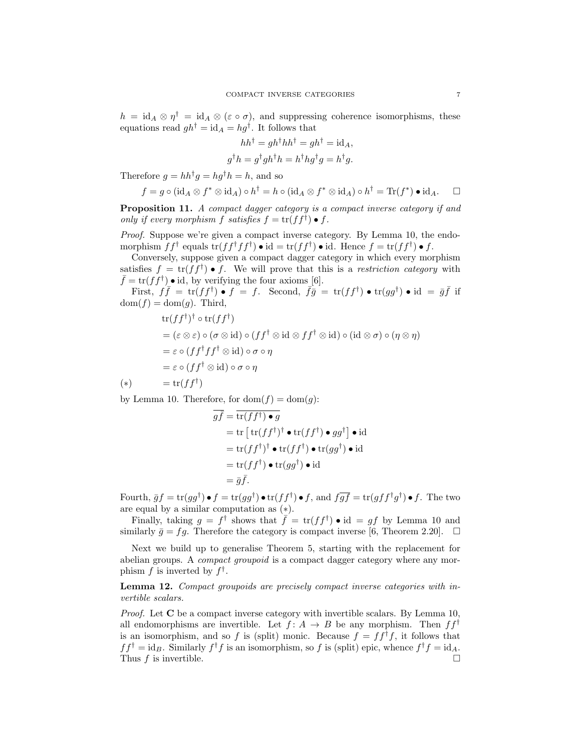$h = \mathrm{id}_A \otimes \eta^{\dagger} = \mathrm{id}_A \otimes (\varepsilon \circ \sigma)$ , and suppressing coherence isomorphisms, these equations read  $gh^{\dagger} = id_A = hg^{\dagger}$ . It follows that

$$
hh^{\dagger} = gh^{\dagger}hh^{\dagger} = gh^{\dagger} = id_A,
$$
  

$$
g^{\dagger}h = g^{\dagger}gh^{\dagger}h = h^{\dagger}hg^{\dagger}g = h^{\dagger}g.
$$

Therefore  $g = hh^{\dagger}g = hg^{\dagger}h = h$ , and so

$$
f = g \circ (\mathrm{id}_A \otimes f^* \otimes \mathrm{id}_A) \circ h^{\dagger} = h \circ (\mathrm{id}_A \otimes f^* \otimes \mathrm{id}_A) \circ h^{\dagger} = \mathrm{Tr}(f^*) \bullet \mathrm{id}_A. \square
$$

Proposition 11. A compact dagger category is a compact inverse category if and only if every morphism f satisfies  $f = \text{tr}(ff^{\dagger}) \bullet f$ .

Proof. Suppose we're given a compact inverse category. By Lemma 10, the endomorphism  $ff^{\dagger}$  equals  $\text{tr}(ff^{\dagger}ff^{\dagger}) \bullet \text{id} = \text{tr}(ff^{\dagger}) \bullet \text{id}$ . Hence  $f = \text{tr}(ff^{\dagger}) \bullet f$ .

Conversely, suppose given a compact dagger category in which every morphism satisfies  $f = \text{tr}(ff^{\dagger}) \bullet f$ . We will prove that this is a restriction category with  $\bar{f} = \text{tr}(f\dot{f}^{\dagger}) \bullet \text{id}$ , by verifying the four axioms [6].

First,  $f\bar{f} = \text{tr}(ff^{\dagger}) \bullet f = f$ . Second,  $\bar{f}\bar{g} = \text{tr}(ff^{\dagger}) \bullet \text{tr}(gg^{\dagger}) \bullet \text{id} = \bar{g}\bar{f}$  if  $dom(f) = dom(g)$ . Third,

$$
tr(f f^{\dagger})^{\dagger} \circ tr(f f^{\dagger})
$$
  
=  $(\varepsilon \otimes \varepsilon) \circ (\sigma \otimes id) \circ (f f^{\dagger} \otimes id \otimes f f^{\dagger} \otimes id) \circ (id \otimes \sigma) \circ (\eta \otimes \eta)$   
=  $\varepsilon \circ (f f^{\dagger} f f^{\dagger} \otimes id) \circ \sigma \circ \eta$   
=  $\varepsilon \circ (f f^{\dagger} \otimes id) \circ \sigma \circ \eta$   
(\*)  $= tr(f f^{\dagger})$ 

by Lemma 10. Therefore, for  $\text{dom}(f) = \text{dom}(g)$ :

$$
\overline{g}\overline{f} = \overline{\text{tr}(f f^{\dagger}) \bullet g}
$$
\n
$$
= \text{tr} [\text{tr}(f f^{\dagger})^{\dagger} \bullet \text{tr}(f f^{\dagger}) \bullet g g^{\dagger}] \bullet \text{id}
$$
\n
$$
= \text{tr}(f f^{\dagger})^{\dagger} \bullet \text{tr}(f f^{\dagger}) \bullet \text{tr}(g g^{\dagger}) \bullet \text{id}
$$
\n
$$
= \text{tr}(f f^{\dagger}) \bullet \text{tr}(g g^{\dagger}) \bullet \text{id}
$$
\n
$$
= \overline{g}\overline{f}.
$$

Fourth,  $\bar{g}f = \text{tr}(gg^{\dagger}) \bullet f = \text{tr}(gg^{\dagger}) \bullet \text{tr}(ff^{\dagger}) \bullet f$ , and  $f\overline{gf} = \text{tr}(gff^{\dagger}g^{\dagger}) \bullet f$ . The two are equal by a similar computation as (∗).

Finally, taking  $g = f^{\dagger}$  shows that  $\overline{f} = \text{tr}(f f^{\dagger}) \bullet \text{id} = gf$  by Lemma 10 and similarly  $\bar{g} = fg$ . Therefore the category is compact inverse [6, Theorem 2.20].  $\Box$ 

Next we build up to generalise Theorem 5, starting with the replacement for abelian groups. A compact groupoid is a compact dagger category where any morphism f is inverted by  $f^{\dagger}$ .

Lemma 12. Compact groupoids are precisely compact inverse categories with invertible scalars.

*Proof.* Let  $C$  be a compact inverse category with invertible scalars. By Lemma 10, all endomorphisms are invertible. Let  $f: A \rightarrow B$  be any morphism. Then  $ff^{\dagger}$ is an isomorphism, and so f is (split) monic. Because  $f = ff^{\dagger}f$ , it follows that  $ff^{\dagger} = id_B$ . Similarly  $f^{\dagger}f$  is an isomorphism, so f is (split) epic, whence  $f^{\dagger}f = id_A$ . Thus  $f$  is invertible.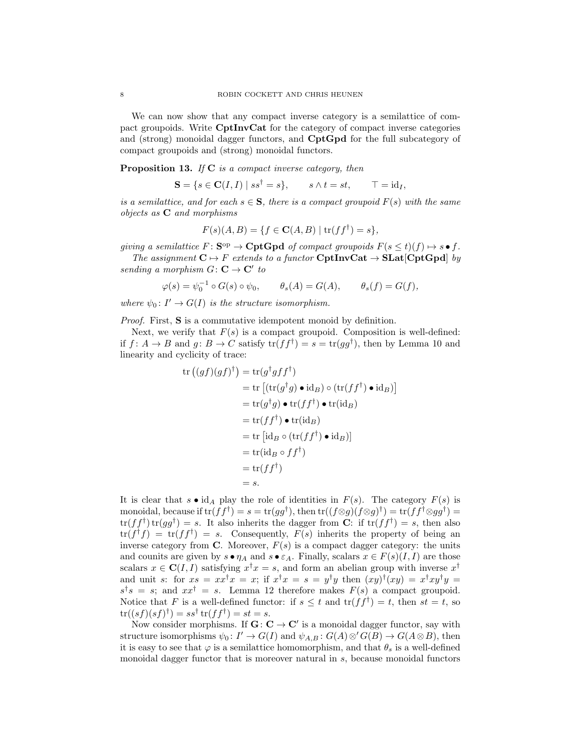We can now show that any compact inverse category is a semilattice of compact groupoids. Write CptInvCat for the category of compact inverse categories and (strong) monoidal dagger functors, and CptGpd for the full subcategory of compact groupoids and (strong) monoidal functors.

**Proposition 13.** If  $C$  is a compact inverse category, then

$$
\mathbf{S} = \{ s \in \mathbf{C}(I, I) \mid ss^{\dagger} = s \}, \qquad s \wedge t = st, \qquad \top = id_I,
$$

is a semilattice, and for each  $s \in \mathbf{S}$ , there is a compact groupoid  $F(s)$  with the same objects as C and morphisms

$$
F(s)(A, B) = \{ f \in \mathbf{C}(A, B) \mid \text{tr}(f f^{\dagger}) = s \},
$$

giving a semilattice  $F: \mathbf{S}^{\mathrm{op}} \to \mathbf{Cpt}\mathbf{Gpd}$  of compact groupoids  $F(s \le t)(f) \mapsto s \bullet f$ .

The assignment  $\mathbf{C} \mapsto F$  extends to a functor  $\mathbf{CptInvCat} \to \mathbf{SLat}[\mathbf{CptGpd}]$  by sending a morphism  $G: \mathbf{C} \to \mathbf{C}'$  to

$$
\varphi(s) = \psi_0^{-1} \circ G(s) \circ \psi_0, \qquad \theta_s(A) = G(A), \qquad \theta_s(f) = G(f),
$$

where  $\psi_0: I' \to G(I)$  is the structure isomorphism.

Proof. First, S is a commutative idempotent monoid by definition.

Next, we verify that  $F(s)$  is a compact groupoid. Composition is well-defined: if  $f: A \to B$  and  $g: B \to C$  satisfy  $tr(f f^{\dagger}) = s = tr(g g^{\dagger})$ , then by Lemma 10 and linearity and cyclicity of trace:

$$
\begin{aligned} \operatorname{tr}\left((gf)(gf)^{\dagger}\right) &= \operatorname{tr}(g^{\dagger}gff^{\dagger}) \\ &= \operatorname{tr}\left[\left(\operatorname{tr}(g^{\dagger}g) \bullet \operatorname{id}_B\right) \circ \left(\operatorname{tr}(ff^{\dagger}) \bullet \operatorname{id}_B\right)\right] \\ &= \operatorname{tr}(g^{\dagger}g) \bullet \operatorname{tr}(ff^{\dagger}) \bullet \operatorname{tr}(\operatorname{id}_B) \\ &= \operatorname{tr}(ff^{\dagger}) \bullet \operatorname{tr}(\operatorname{id}_B) \\ &= \operatorname{tr}\left[\operatorname{id}_B \circ \left(\operatorname{tr}(ff^{\dagger}) \bullet \operatorname{id}_B\right)\right] \\ &= \operatorname{tr}(\operatorname{id}_B \circ ff^{\dagger}) \\ &= \operatorname{tr}(ff^{\dagger}) \\ &= \operatorname{tr}(ff^{\dagger}) \\ &= s. \end{aligned}
$$

It is clear that  $s \bullet id_A$  play the role of identities in  $F(s)$ . The category  $F(s)$  is monoidal, because if  $tr(f f^{\dagger}) = s = tr(g g^{\dagger})$ , then  $tr((f \otimes g)(f \otimes g)^{\dagger}) = tr(f f^{\dagger} \otimes g g^{\dagger}) =$  $tr(f f^{\dagger}) tr(g g^{\dagger}) = s$ . It also inherits the dagger from C: if  $tr(f f^{\dagger}) = s$ , then also  $tr(f^{\dagger}f) = tr(f^{\dagger}f) = s$ . Consequently,  $F(s)$  inherits the property of being an inverse category from  $\bf{C}$ . Moreover,  $F(s)$  is a compact dagger category: the units and counits are given by  $s \bullet \eta_A$  and  $s \bullet \varepsilon_A$ . Finally, scalars  $x \in F(s)(I, I)$  are those scalars  $x \in \mathbf{C}(I, I)$  satisfying  $x^{\dagger} x = s$ , and form an abelian group with inverse  $x^{\dagger}$ and unit s: for  $xs = xx^{\dagger}x = x$ ; if  $x^{\dagger}x = s = y^{\dagger}y$  then  $(xy)^{\dagger}(xy) = x^{\dagger}xy^{\dagger}y = x^{\dagger}xy^{\dagger}y$  $s^{\dagger}s = s$ ; and  $xx^{\dagger} = s$ . Lemma 12 therefore makes  $F(s)$  a compact groupoid. Notice that F is a well-defined functor: if  $s \leq t$  and  $tr(f f^{\dagger}) = t$ , then  $st = t$ , so  $\text{tr}((sf)(sf)^{\dagger}) = ss^{\dagger} \text{tr}(ff^{\dagger}) = st = s.$ 

Now consider morphisms. If  $G: C \to C'$  is a monoidal dagger functor, say with structure isomorphisms  $\psi_0: I' \to G(I)$  and  $\psi_{A,B}: G(A) \otimes' G(B) \to G(A \otimes B)$ , then it is easy to see that  $\varphi$  is a semilattice homomorphism, and that  $\theta_s$  is a well-defined monoidal dagger functor that is moreover natural in s, because monoidal functors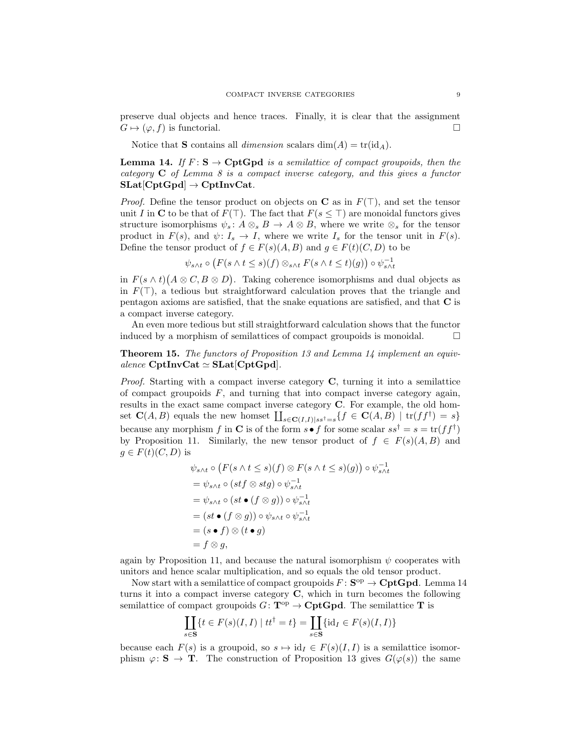preserve dual objects and hence traces. Finally, it is clear that the assignment  $G \mapsto (\varphi, f)$  is functorial.

Notice that **S** contains all *dimension* scalars dim(A) = tr(id<sub>A</sub>).

**Lemma 14.** If  $F: S \to \text{CptGpd}$  is a semilattice of compact groupoids, then the category C of Lemma 8 is a compact inverse category, and this gives a functor  $SLat[CptGpd] \rightarrow CptInvCat.$ 

*Proof.* Define the tensor product on objects on C as in  $F(T)$ , and set the tensor unit I in C to be that of  $F(\top)$ . The fact that  $F(s \leq \top)$  are monoidal functors gives structure isomorphisms  $\psi_s: A \otimes_s B \to A \otimes B$ , where we write  $\otimes_s$  for the tensor product in  $F(s)$ , and  $\psi: I_s \to I$ , where we write  $I_s$  for the tensor unit in  $F(s)$ . Define the tensor product of  $f \in F(s)(A, B)$  and  $g \in F(t)(C, D)$  to be

$$
\psi_{s \wedge t} \circ \left( F(s \wedge t \le s)(f) \otimes_{s \wedge t} F(s \wedge t \le t)(g) \right) \circ \psi_{s \wedge t}^{-1}
$$

in  $F(s \wedge t)(A \otimes C, B \otimes D)$ . Taking coherence isomorphisms and dual objects as in  $F(\top)$ , a tedious but straightforward calculation proves that the triangle and pentagon axioms are satisfied, that the snake equations are satisfied, and that C is a compact inverse category.

An even more tedious but still straightforward calculation shows that the functor induced by a morphism of semilattices of compact groupoids is monoidal.  $\Box$ 

Theorem 15. The functors of Proposition 13 and Lemma 14 implement an equivalence  $\text{CptInvCat} \simeq \text{SLat}[\text{CptGpd}].$ 

*Proof.* Starting with a compact inverse category  $C$ , turning it into a semilattice of compact groupoids  $F$ , and turning that into compact inverse category again, results in the exact same compact inverse category C. For example, the old homset  $\mathbf{C}(A, B)$  equals the new homset  $\coprod_{s \in \mathbf{C}(I,I)|ss^{\dagger}=s} \{f \in \mathbf{C}(A, B) \mid \text{tr}(ff^{\dagger})=s\}$ because any morphism f in C is of the form  $s \bullet f$  for some scalar  $ss^{\dagger} = s = \text{tr}(ff^{\dagger})$ by Proposition 11. Similarly, the new tensor product of  $f \in F(s)(A, B)$  and  $g \in F(t)(C, D)$  is

$$
\psi_{s \wedge t} \circ (F(s \wedge t \le s)(f) \otimes F(s \wedge t \le s)(g)) \circ \psi_{s \wedge t}^{-1}
$$
\n
$$
= \psi_{s \wedge t} \circ (stf \otimes stg) \circ \psi_{s \wedge t}^{-1}
$$
\n
$$
= \psi_{s \wedge t} \circ (st \bullet (f \otimes g)) \circ \psi_{s \wedge t}^{-1}
$$
\n
$$
= (st \bullet (f \otimes g)) \circ \psi_{s \wedge t} \circ \psi_{s \wedge t}^{-1}
$$
\n
$$
= (s \bullet f) \otimes (t \bullet g)
$$
\n
$$
= f \otimes g,
$$

again by Proposition 11, and because the natural isomorphism  $\psi$  cooperates with unitors and hence scalar multiplication, and so equals the old tensor product.

Now start with a semilattice of compact groupoids  $F: S^{op} \to \mathbf{CptGpd}$ . Lemma 14 turns it into a compact inverse category C, which in turn becomes the following semilattice of compact groupoids  $G: \mathbf{T}^{\mathrm{op}} \to \mathbf{Cpt}\mathbf{Gpd}$ . The semilattice T is

$$
\coprod_{s \in \mathbf{S}} \{ t \in F(s)(I, I) \mid tt^{\dagger} = t \} = \coprod_{s \in \mathbf{S}} \{ id_I \in F(s)(I, I) \}
$$

because each  $F(s)$  is a groupoid, so  $s \mapsto id_I \in F(s)(I, I)$  is a semilattice isomorphism  $\varphi: \mathbf{S} \to \mathbf{T}$ . The construction of Proposition 13 gives  $G(\varphi(s))$  the same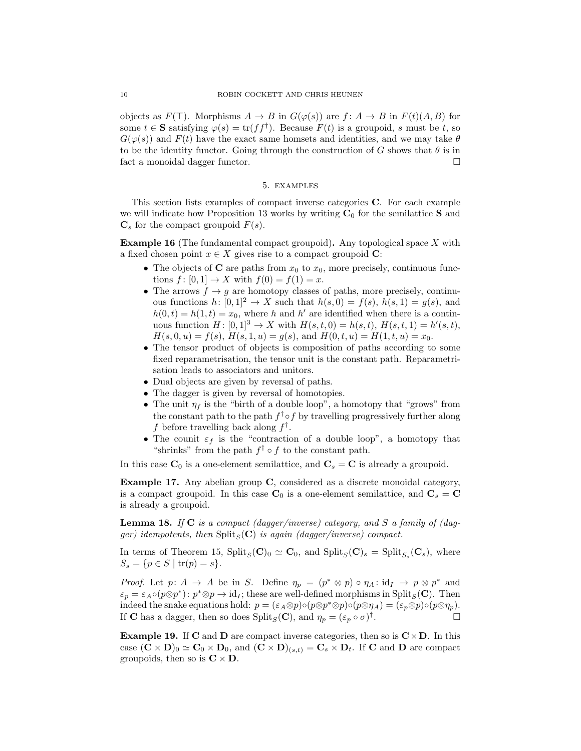objects as  $F(\top)$ . Morphisms  $A \to B$  in  $G(\varphi(s))$  are  $f: A \to B$  in  $F(t)(A, B)$  for some  $t \in \mathbf{S}$  satisfying  $\varphi(s) = \text{tr}(ff^{\dagger})$ . Because  $F(t)$  is a groupoid, s must be t, so  $G(\varphi(s))$  and  $F(t)$  have the exact same homsets and identities, and we may take  $\theta$ to be the identity functor. Going through the construction of G shows that  $\theta$  is in fact a monoidal dagger functor.

### 5. examples

This section lists examples of compact inverse categories C. For each example we will indicate how Proposition 13 works by writing  $C_0$  for the semilattice S and  $\mathbf{C}_s$  for the compact groupoid  $F(s)$ .

**Example 16** (The fundamental compact groupoid). Any topological space  $X$  with a fixed chosen point  $x \in X$  gives rise to a compact groupoid C:

- The objects of C are paths from  $x_0$  to  $x_0$ , more precisely, continuous functions  $f: [0, 1] \to X$  with  $f(0) = f(1) = x$ .
- The arrows  $f \rightarrow g$  are homotopy classes of paths, more precisely, continuous functions  $h: [0, 1]^2 \to X$  such that  $h(s, 0) = f(s)$ ,  $h(s, 1) = g(s)$ , and  $h(0, t) = h(1, t) = x_0$ , where h and h' are identified when there is a continuous function  $H: [0, 1]^3 \to X$  with  $H(s, t, 0) = h(s, t), H(s, t, 1) = h'(s, t),$  $H(s, 0, u) = f(s), H(s, 1, u) = g(s), \text{ and } H(0, t, u) = H(1, t, u) = x_0.$
- The tensor product of objects is composition of paths according to some fixed reparametrisation, the tensor unit is the constant path. Reparametrisation leads to associators and unitors.
- Dual objects are given by reversal of paths.
- The dagger is given by reversal of homotopies.
- The unit  $\eta_f$  is the "birth of a double loop", a homotopy that "grows" from the constant path to the path  $f^{\dagger} \circ f$  by travelling progressively further along f before travelling back along  $f^{\dagger}$ .
- The counit  $\varepsilon_f$  is the "contraction of a double loop", a homotopy that "shrinks" from the path  $f^{\dagger} \circ f$  to the constant path.

In this case  $\mathbf{C}_0$  is a one-element semilattice, and  $\mathbf{C}_s = \mathbf{C}$  is already a groupoid.

Example 17. Any abelian group C, considered as a discrete monoidal category, is a compact groupoid. In this case  $\mathbf{C}_0$  is a one-element semilattice, and  $\mathbf{C}_s = \mathbf{C}$ is already a groupoid.

**Lemma 18.** If  $C$  is a compact (dagger/inverse) category, and  $S$  a family of (dagger) idempotents, then  $\text{Split}_{S}(\mathbf{C})$  is again (dagger/inverse) compact.

In terms of Theorem 15,  $\text{Split}_S(\mathbf{C})_0 \simeq \mathbf{C}_0$ , and  $\text{Split}_S(\mathbf{C})_s = \text{Split}_{S_s}(\mathbf{C}_s)$ , where  $S_s = \{p \in S \mid \text{tr}(p) = s\}.$ 

*Proof.* Let  $p: A \to A$  be in S. Define  $\eta_p = (p^* \otimes p) \circ \eta_A : id_I \to p \otimes p^*$  and  $\varepsilon_p = \varepsilon_A \circ (p \otimes p^*)$ :  $p^* \otimes p \to id_I$ ; these are well-defined morphisms in Split<sub>S</sub>(C). Then indeed the snake equations hold:  $p = (\varepsilon_A \otimes p) \circ (p \otimes p^* \otimes p) \circ (p \otimes \eta_A) = (\varepsilon_p \otimes p) \circ (p \otimes \eta_p)$ . If **C** has a dagger, then so does  $\text{Split}_S(\mathbf{C})$ , and  $\eta_p = (\varepsilon_p \circ \sigma)^{\dagger}$ .

**Example 19.** If C and D are compact inverse categories, then so is  $C \times D$ . In this case  $(C \times D)_0 \simeq C_0 \times D_0$ , and  $(C \times D)_{(s,t)} = C_s \times D_t$ . If C and D are compact groupoids, then so is  $C \times D$ .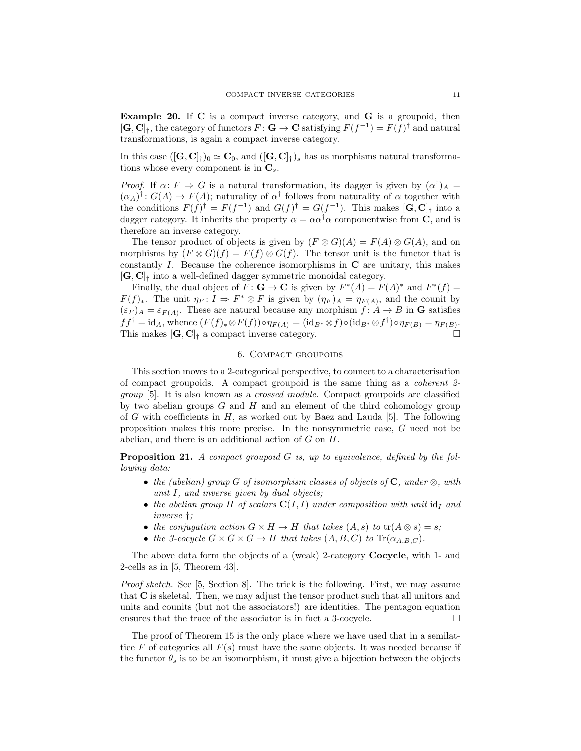Example 20. If C is a compact inverse category, and G is a groupoid, then  $[\mathbf{G}, \mathbf{C}]_{\dagger}$ , the category of functors  $F : \mathbf{G} \to \mathbf{C}$  satisfying  $F(f^{-1}) = F(f)^{\dagger}$  and natural transformations, is again a compact inverse category.

In this case  $([G, C]_{\dagger})_0 \simeq C_0$ , and  $([G, C]_{\dagger})_s$  has as morphisms natural transformations whose every component is in  $\mathbf{C}_s$ .

*Proof.* If  $\alpha: F \Rightarrow G$  is a natural transformation, its dagger is given by  $(\alpha^{\dagger})_A =$  $(\alpha_A)^{\dagger}$ :  $G(A) \to F(A)$ ; naturality of  $\alpha^{\dagger}$  follows from naturality of  $\alpha$  together with the conditions  $F(f)^{\dagger} = F(f^{-1})$  and  $G(f)^{\dagger} = G(f^{-1})$ . This makes  $[\mathbf{G}, \mathbf{C}]_{\dagger}$  into a dagger category. It inherits the property  $\alpha = \alpha \alpha^{\dagger} \alpha$  componentwise from C, and is therefore an inverse category.

The tensor product of objects is given by  $(F \otimes G)(A) = F(A) \otimes G(A)$ , and on morphisms by  $(F \otimes G)(f) = F(f) \otimes G(f)$ . The tensor unit is the functor that is constantly  $I$ . Because the coherence isomorphisms in  $C$  are unitary, this makes  $[G, C]_+$  into a well-defined dagger symmetric monoidal category.

Finally, the dual object of  $F: \mathbf{G} \to \mathbf{C}$  is given by  $F^*(A) = F(A)^*$  and  $F^*(f) =$  $F(f)_*.$  The unit  $\eta_F: I \Rightarrow F^* \otimes F$  is given by  $(\eta_F)_A = \eta_{F(A)}$ , and the counit by  $(\varepsilon_F)_A = \varepsilon_{F(A)}$ . These are natural because any morphism  $f: A \to B$  in **G** satisfies  $ff^{\dagger} = \mathrm{id}_A$ , whence  $(F(f)_{*} \otimes F(f)) \circ \eta_{F(A)} = (\mathrm{id}_{B^{*}} \otimes f) \circ (\mathrm{id}_{B^{*}} \otimes f^{\dagger}) \circ \eta_{F(B)} = \eta_{F(B)}$ . This makes  $[G, C]$ <sub>†</sub> a compact inverse category.

## 6. Compact groupoids

This section moves to a 2-categorical perspective, to connect to a characterisation of compact groupoids. A compact groupoid is the same thing as a coherent 2 group [5]. It is also known as a crossed module. Compact groupoids are classified by two abelian groups  $G$  and  $H$  and an element of the third cohomology group of G with coefficients in  $H$ , as worked out by Baez and Lauda [5]. The following proposition makes this more precise. In the nonsymmetric case, G need not be abelian, and there is an additional action of G on H.

**Proposition 21.** A compact groupoid  $G$  is, up to equivalence, defined by the following data:

- the (abelian) group G of isomorphism classes of objects of C, under  $\otimes$ , with unit I, and inverse given by dual objects;
- the abelian group H of scalars  $C(I, I)$  under composition with unit  $id_I$  and inverse †;
- the conjugation action  $G \times H \to H$  that takes  $(A, s)$  to  $tr(A \otimes s) = s$ ;
- the 3-cocycle  $G \times G \times G \to H$  that takes  $(A, B, C)$  to  $\text{Tr}(\alpha_{A,B,C})$ .

The above data form the objects of a (weak) 2-category Cocycle, with 1- and 2-cells as in [5, Theorem 43].

Proof sketch. See [5, Section 8]. The trick is the following. First, we may assume that C is skeletal. Then, we may adjust the tensor product such that all unitors and units and counits (but not the associators!) are identities. The pentagon equation ensures that the trace of the associator is in fact a 3-cocycle.  $\Box$ 

The proof of Theorem 15 is the only place where we have used that in a semilattice F of categories all  $F(s)$  must have the same objects. It was needed because if the functor  $\theta_s$  is to be an isomorphism, it must give a bijection between the objects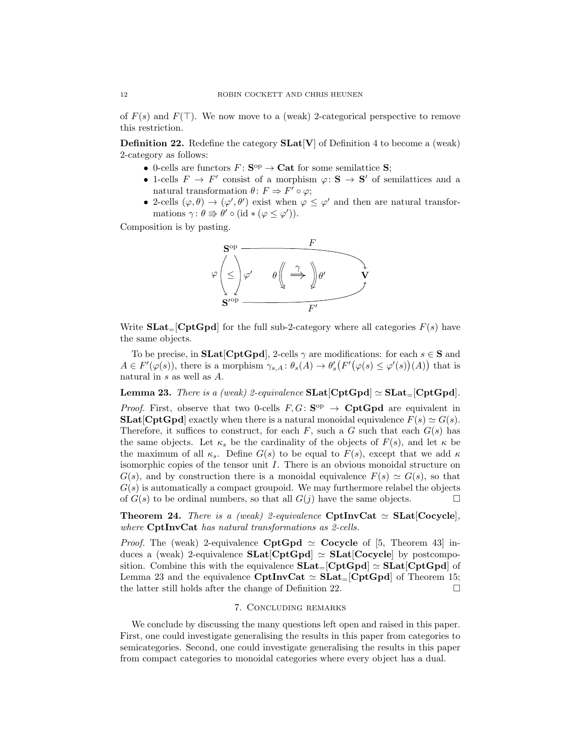of  $F(s)$  and  $F(\top)$ . We now move to a (weak) 2-categorical perspective to remove this restriction.

**Definition 22.** Redefine the category  $SLat[V]$  of Definition 4 to become a (weak) 2-category as follows:

- 0-cells are functors  $F: S^{op} \to \mathbf{Cat}$  for some semilattice  $S$ ;
- 1-cells  $F \to F'$  consist of a morphism  $\varphi \colon \mathbf{S} \to \mathbf{S}'$  of semilattices and a natural transformation  $\theta: F \Rightarrow F' \circ \varphi;$
- 2-cells  $(\varphi, \theta) \to (\varphi', \theta')$  exist when  $\varphi \leq \varphi'$  and then are natural transformations  $\gamma: \theta \Rightarrow \theta' \circ (\mathrm{id} * (\varphi \leq \varphi')).$

Composition is by pasting.



Write  $\textbf{SLat}_{=}[\textbf{CptGpd}]$  for the full sub-2-category where all categories  $F(s)$  have the same objects.

To be precise, in **SLat**[CptGpd], 2-cells  $\gamma$  are modifications: for each  $s \in S$  and  $A \in F'(\varphi(s))$ , there is a morphism  $\gamma_{s,A}: \theta_s(A) \to \theta'_s(F'(\varphi(s) \leq \varphi'(s))(A))$  that is natural in s as well as A.

**Lemma 23.** There is a (weak) 2-equivalence  $\text{SLat}[\text{CptGpd}] \simeq \text{SLat}_{=}[\text{CptGpd}]$ .

*Proof.* First, observe that two 0-cells  $F, G: S^{op} \to \mathbf{CptGpd}$  are equivalent in **SLat**[CptGpd] exactly when there is a natural monoidal equivalence  $F(s) \simeq G(s)$ . Therefore, it suffices to construct, for each  $F$ , such a G such that each  $G(s)$  has the same objects. Let  $\kappa_s$  be the cardinality of the objects of  $F(s)$ , and let  $\kappa$  be the maximum of all  $\kappa_s$ . Define  $G(s)$  to be equal to  $F(s)$ , except that we add  $\kappa$ isomorphic copies of the tensor unit I. There is an obvious monoidal structure on  $G(s)$ , and by construction there is a monoidal equivalence  $F(s) \simeq G(s)$ , so that  $G(s)$  is automatically a compact groupoid. We may furthermore relabel the objects of  $G(s)$  to be ordinal numbers, so that all  $G(j)$  have the same objects.

**Theorem 24.** There is a (weak) 2-equivalence CptInvCat  $\simeq$  SLat[Cocycle], where CptInvCat has natural transformations as 2-cells.

*Proof.* The (weak) 2-equivalence CptGpd  $\simeq$  Cocycle of [5, Theorem 43] induces a (weak) 2-equivalence  $SLat[CptGpd] \simeq SLat[Cocycle]$  by postcomposition. Combine this with the equivalence  $SLat=[CptGpd] \simeq SLat[CptGpd]$  of Lemma 23 and the equivalence CptInvCat  $\simeq$  SLat<sub>=</sub>[CptGpd] of Theorem 15; the latter still holds after the change of Definition 22.

#### 7. Concluding remarks

We conclude by discussing the many questions left open and raised in this paper. First, one could investigate generalising the results in this paper from categories to semicategories. Second, one could investigate generalising the results in this paper from compact categories to monoidal categories where every object has a dual.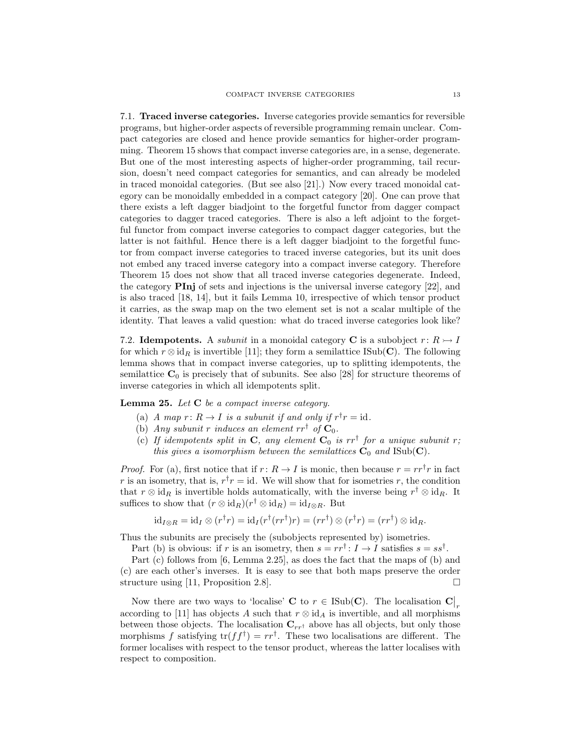7.1. Traced inverse categories. Inverse categories provide semantics for reversible programs, but higher-order aspects of reversible programming remain unclear. Compact categories are closed and hence provide semantics for higher-order programming. Theorem 15 shows that compact inverse categories are, in a sense, degenerate. But one of the most interesting aspects of higher-order programming, tail recursion, doesn't need compact categories for semantics, and can already be modeled in traced monoidal categories. (But see also [21].) Now every traced monoidal category can be monoidally embedded in a compact category [20]. One can prove that there exists a left dagger biadjoint to the forgetful functor from dagger compact categories to dagger traced categories. There is also a left adjoint to the forgetful functor from compact inverse categories to compact dagger categories, but the latter is not faithful. Hence there is a left dagger biadjoint to the forgetful functor from compact inverse categories to traced inverse categories, but its unit does not embed any traced inverse category into a compact inverse category. Therefore Theorem 15 does not show that all traced inverse categories degenerate. Indeed, the category PInj of sets and injections is the universal inverse category [22], and is also traced [18, 14], but it fails Lemma 10, irrespective of which tensor product it carries, as the swap map on the two element set is not a scalar multiple of the identity. That leaves a valid question: what do traced inverse categories look like?

7.2. Idempotents. A *subunit* in a monoidal category C is a subobject  $r: R \rightarrow I$ for which  $r \otimes id_R$  is invertible [11]; they form a semilattice ISub(C). The following lemma shows that in compact inverse categories, up to splitting idempotents, the semilattice  $C_0$  is precisely that of subunits. See also [28] for structure theorems of inverse categories in which all idempotents split.

**Lemma 25.** Let  $C$  be a compact inverse category.

- (a) A map  $r: R \to I$  is a subunit if and only if  $r^{\dagger}r = id$ .
- (b) Any subunit r induces an element  $rr^{\dagger}$  of  $\mathbf{C}_0$ .
- (c) If idempotents split in  $C$ , any element  $C_0$  is  $rr^{\dagger}$  for a unique subunit r; this gives a isomorphism between the semilattices  $C_0$  and  $\text{Isub}(C)$ .

*Proof.* For (a), first notice that if  $r: R \to I$  is monic, then because  $r = rr^{\dagger}r$  in fact r is an isometry, that is,  $r^{\dagger}r = id$ . We will show that for isometries r, the condition that  $r \otimes id_R$  is invertible holds automatically, with the inverse being  $r^{\dagger} \otimes id_R$ . It suffices to show that  $(r \otimes id_R)(r^{\dagger} \otimes id_R) = id_{I \otimes R}$ . But

$$
id_{I\otimes R} = id_{I}\otimes (r^{\dagger}r) = id_{I}(r^{\dagger}(rr^{\dagger})r) = (rr^{\dagger})\otimes (r^{\dagger}r) = (rr^{\dagger})\otimes id_{R}.
$$

Thus the subunits are precisely the (subobjects represented by) isometries.

Part (b) is obvious: if r is an isometry, then  $s = rr^{\dagger}$ :  $I \rightarrow I$  satisfies  $s = ss^{\dagger}$ .

Part (c) follows from [6, Lemma 2.25], as does the fact that the maps of (b) and (c) are each other's inverses. It is easy to see that both maps preserve the order structure using [11, Proposition 2.8].

Now there are two ways to 'localise' **C** to  $r \in \text{Isub}(\mathbf{C})$ . The localisation  $\mathbf{C}\big|_r$ according to [11] has objects A such that  $r \otimes id_A$  is invertible, and all morphisms between those objects. The localisation  $C_{rr}$  above has all objects, but only those morphisms f satisfying  $tr(f f^{\dagger}) = rr^{\dagger}$ . These two localisations are different. The former localises with respect to the tensor product, whereas the latter localises with respect to composition.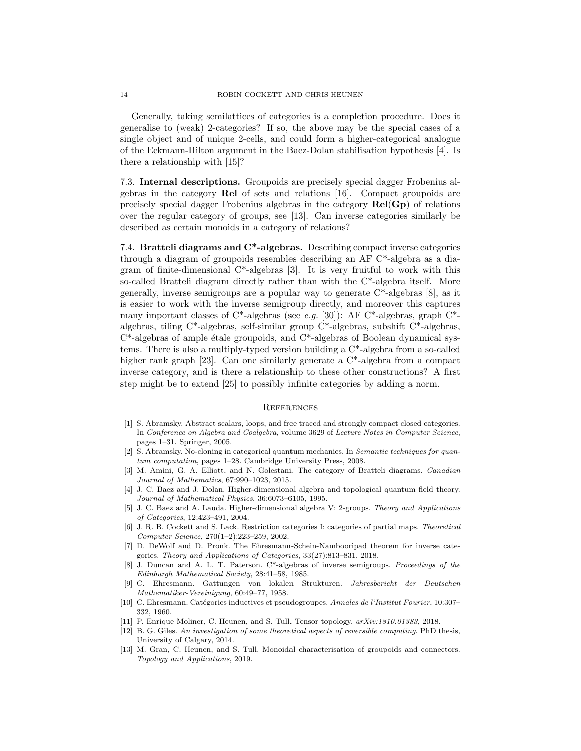Generally, taking semilattices of categories is a completion procedure. Does it generalise to (weak) 2-categories? If so, the above may be the special cases of a single object and of unique 2-cells, and could form a higher-categorical analogue of the Eckmann-Hilton argument in the Baez-Dolan stabilisation hypothesis [4]. Is there a relationship with [15]?

7.3. Internal descriptions. Groupoids are precisely special dagger Frobenius algebras in the category Rel of sets and relations [16]. Compact groupoids are precisely special dagger Frobenius algebras in the category Rel(Gp) of relations over the regular category of groups, see [13]. Can inverse categories similarly be described as certain monoids in a category of relations?

7.4. Bratteli diagrams and C<sup>\*</sup>-algebras. Describing compact inverse categories through a diagram of groupoids resembles describing an AF C\*-algebra as a diagram of finite-dimensional  $C^*$ -algebras [3]. It is very fruitful to work with this so-called Bratteli diagram directly rather than with the C\*-algebra itself. More generally, inverse semigroups are a popular way to generate C\*-algebras [8], as it is easier to work with the inverse semigroup directly, and moreover this captures many important classes of C\*-algebras (see e.g. [30]): AF C\*-algebras, graph C\*algebras, tiling C\*-algebras, self-similar group C\*-algebras, subshift C\*-algebras,  $C^*$ -algebras of ample étale groupoids, and  $C^*$ -algebras of Boolean dynamical systems. There is also a multiply-typed version building a C\*-algebra from a so-called higher rank graph [23]. Can one similarly generate a  $C^*$ -algebra from a compact inverse category, and is there a relationship to these other constructions? A first step might be to extend [25] to possibly infinite categories by adding a norm.

#### **REFERENCES**

- [1] S. Abramsky. Abstract scalars, loops, and free traced and strongly compact closed categories. In Conference on Algebra and Coalgebra, volume 3629 of Lecture Notes in Computer Science, pages 1–31. Springer, 2005.
- [2] S. Abramsky. No-cloning in categorical quantum mechanics. In Semantic techniques for quantum computation, pages 1–28. Cambridge University Press, 2008.
- [3] M. Amini, G. A. Elliott, and N. Golestani. The category of Bratteli diagrams. Canadian Journal of Mathematics, 67:990–1023, 2015.
- [4] J. C. Baez and J. Dolan. Higher-dimensional algebra and topological quantum field theory. Journal of Mathematical Physics, 36:6073–6105, 1995.
- [5] J. C. Baez and A. Lauda. Higher-dimensional algebra V: 2-groups. Theory and Applications of Categories, 12:423–491, 2004.
- [6] J. R. B. Cockett and S. Lack. Restriction categories I: categories of partial maps. Theoretical Computer Science, 270(1–2):223–259, 2002.
- [7] D. DeWolf and D. Pronk. The Ehresmann-Schein-Nambooripad theorem for inverse categories. Theory and Applications of Categories, 33(27):813–831, 2018.
- [8] J. Duncan and A. L. T. Paterson. C\*-algebras of inverse semigroups. Proceedings of the Edinburgh Mathematical Society, 28:41–58, 1985.
- [9] C. Ehresmann. Gattungen von lokalen Strukturen. Jahresbericht der Deutschen Mathematiker-Vereinigung, 60:49–77, 1958.
- [10] C. Ehresmann. Catégories inductives et pseudogroupes. Annales de l'Institut Fourier, 10:307– 332, 1960.
- [11] P. Enrique Moliner, C. Heunen, and S. Tull. Tensor topology. arXiv:1810.01383, 2018.
- [12] B. G. Giles. An investigation of some theoretical aspects of reversible computing. PhD thesis, University of Calgary, 2014.
- [13] M. Gran, C. Heunen, and S. Tull. Monoidal characterisation of groupoids and connectors. Topology and Applications, 2019.